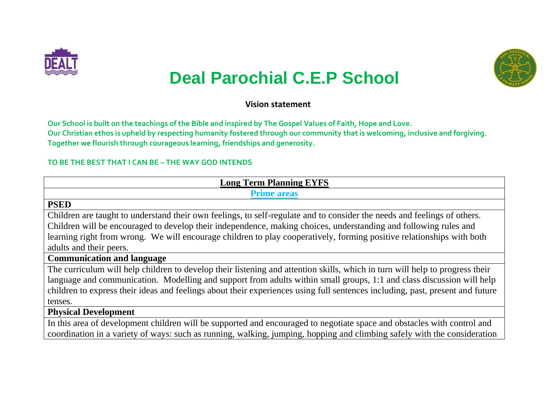



# **Deal Parochial C.E.P School**

#### **Vision statement**

**Our School is built on the teachings of the Bible and inspired by The Gospel Values of Faith, Hope and Love. Our Christian ethos is upheld by respecting humanity fostered through our community that is welcoming, inclusive and forgiving. Together we flourish through courageous learning, friendships and generosity.**

#### **TO BE THE BEST THAT I CAN BE – THE WAY GOD INTENDS**

| <b>Long Term Planning EYFS</b>                                                                                                |
|-------------------------------------------------------------------------------------------------------------------------------|
| <b>Prime areas</b>                                                                                                            |
| <b>PSED</b>                                                                                                                   |
| Children are taught to understand their own feelings, to self-regulate and to consider the needs and feelings of others.      |
| Children will be encouraged to develop their independence, making choices, understanding and following rules and              |
| learning right from wrong. We will encourage children to play cooperatively, forming positive relationships with both         |
| adults and their peers.                                                                                                       |
| <b>Communication and language</b>                                                                                             |
| The curriculum will help children to develop their listening and attention skills, which in turn will help to progress their  |
| language and communication. Modelling and support from adults within small groups, 1:1 and class discussion will help         |
| children to express their ideas and feelings about their experiences using full sentences including, past, present and future |
| tenses.                                                                                                                       |
| <b>Physical Development</b>                                                                                                   |

In this area of development children will be supported and encouraged to negotiate space and obstacles with control and coordination in a variety of ways: such as running, walking, jumping, hopping and climbing safely with the consideration